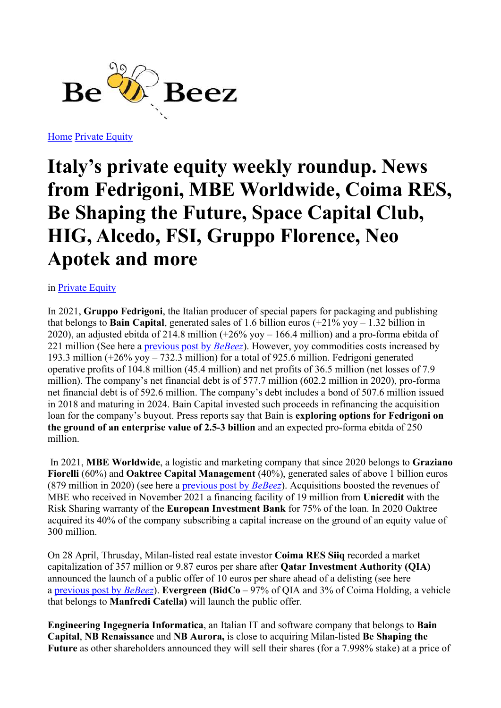

Home Private Equity

## Italy's private equity weekly roundup. News from Fedrigoni, MBE Worldwide, Coima RES, Be Shaping the Future, Space Capital Club, HIG, Alcedo, FSI, Gruppo Florence, Neo Apotek and more

in Private Equity

In 2021, Gruppo Fedrigoni, the Italian producer of special papers for packaging and publishing that belongs to **Bain Capital**, generated sales of 1.6 billion euros  $(+21\%$  yoy  $-1.32$  billion in 2020), an adjusted ebitda of 214.8 million (+26% yoy – 166.4 million) and a pro-forma ebitda of 221 million (See here a previous post by  $BeBeez$ ). However, yoy commodities costs increased by 193.3 million (+26% yoy – 732.3 million) for a total of 925.6 million. Fedrigoni generated operative profits of 104.8 million (45.4 million) and net profits of 36.5 million (net losses of 7.9 million). The company's net financial debt is of 577.7 million (602.2 million in 2020), pro-forma net financial debt is of 592.6 million. The company's debt includes a bond of 507.6 million issued in 2018 and maturing in 2024. Bain Capital invested such proceeds in refinancing the acquisition loan for the company's buyout. Press reports say that Bain is exploring options for Fedrigoni on the ground of an enterprise value of 2.5-3 billion and an expected pro-forma ebitda of 250 million.

 In 2021, MBE Worldwide, a logistic and marketing company that since 2020 belongs to Graziano Fiorelli (60%) and Oaktree Capital Management (40%), generated sales of above 1 billion euros (879 million in 2020) (see here a previous post by  $BeBeez$ ). Acquisitions boosted the revenues of MBE who received in November 2021 a financing facility of 19 million from Unicredit with the Risk Sharing warranty of the European Investment Bank for 75% of the loan. In 2020 Oaktree acquired its 40% of the company subscribing a capital increase on the ground of an equity value of 300 million.

On 28 April, Thrusday, Milan-listed real estate investor Coima RES Siiq recorded a market capitalization of 357 million or 9.87 euros per share after Qatar Investment Authority (QIA) announced the launch of a public offer of 10 euros per share ahead of a delisting (see here a previous post by BeBeez). Evergreen (BidCo – 97% of QIA and 3% of Coima Holding, a vehicle that belongs to Manfredi Catella) will launch the public offer.

Engineering Ingegneria Informatica, an Italian IT and software company that belongs to Bain Capital, NB Renaissance and NB Aurora, is close to acquiring Milan-listed Be Shaping the Future as other shareholders announced they will sell their shares (for a 7.998% stake) at a price of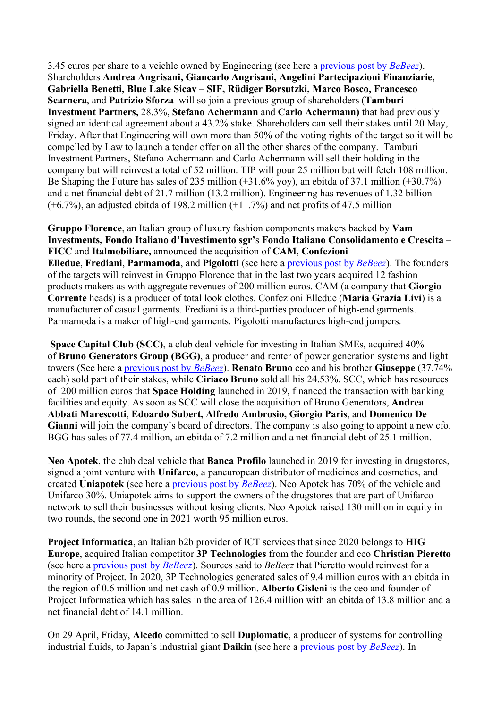3.45 euros per share to a veichle owned by Engineering (see here a previous post by BeBeez). Shareholders Andrea Angrisani, Giancarlo Angrisani, Angelini Partecipazioni Finanziarie, Gabriella Benetti, Blue Lake Sicav – SIF, Rüdiger Borsutzki, Marco Bosco, Francesco Scarnera, and Patrizio Sforza will so join a previous group of shareholders (Tamburi Investment Partners, 28.3%, Stefano Achermann and Carlo Achermann) that had previously signed an identical agreement about a 43.2% stake. Shareholders can sell their stakes until 20 May, Friday. After that Engineering will own more than 50% of the voting rights of the target so it will be compelled by Law to launch a tender offer on all the other shares of the company. Tamburi Investment Partners, Stefano Achermann and Carlo Achermann will sell their holding in the company but will reinvest a total of 52 million. TIP will pour 25 million but will fetch 108 million. Be Shaping the Future has sales of 235 million (+31.6% yoy), an ebitda of 37.1 million (+30.7%) and a net financial debt of 21.7 million (13.2 million). Engineering has revenues of 1.32 billion (+6.7%), an adjusted ebitda of 198.2 million (+11.7%) and net profits of 47.5 million

Gruppo Florence, an Italian group of luxury fashion components makers backed by Vam Investments, Fondo Italiano d'Investimento sgr's Fondo Italiano Consolidamento e Crescita – FICC and Italmobiliare, announced the acquisition of CAM, Confezioni Elledue, Frediani, Parmamoda, and Pigolotti (see here a previous post by BeBeez). The founders of the targets will reinvest in Gruppo Florence that in the last two years acquired 12 fashion products makers as with aggregate revenues of 200 million euros. CAM (a company that Giorgio Corrente heads) is a producer of total look clothes. Confezioni Elledue (Maria Grazia Livi) is a manufacturer of casual garments. Frediani is a third-parties producer of high-end garments. Parmamoda is a maker of high-end garments. Pigolotti manufactures high-end jumpers.

Space Capital Club (SCC), a club deal vehicle for investing in Italian SMEs, acquired 40% of Bruno Generators Group (BGG), a producer and renter of power generation systems and light towers (See here a previous post by BeBeez). Renato Bruno ceo and his brother Giuseppe (37.74% each) sold part of their stakes, while Ciriaco Bruno sold all his 24.53%. SCC, which has resources of 200 million euros that Space Holding launched in 2019, financed the transaction with banking facilities and equity. As soon as SCC will close the acquisition of Bruno Generators, Andrea Abbati Marescotti, Edoardo Subert, Alfredo Ambrosio, Giorgio Paris, and Domenico De Gianni will join the company's board of directors. The company is also going to appoint a new cfo. BGG has sales of 77.4 million, an ebitda of 7.2 million and a net financial debt of 25.1 million.

Neo Apotek, the club deal vehicle that Banca Profilo launched in 2019 for investing in drugstores, signed a joint venture with Unifarco, a paneuropean distributor of medicines and cosmetics, and created Uniapotek (see here a previous post by *BeBeez*). Neo Apotek has 70% of the vehicle and Unifarco 30%. Uniapotek aims to support the owners of the drugstores that are part of Unifarco network to sell their businesses without losing clients. Neo Apotek raised 130 million in equity in two rounds, the second one in 2021 worth 95 million euros.

Project Informatica, an Italian b2b provider of ICT services that since 2020 belongs to HIG Europe, acquired Italian competitor 3P Technologies from the founder and ceo Christian Pieretto (see here a previous post by BeBeez). Sources said to BeBeez that Pieretto would reinvest for a minority of Project. In 2020, 3P Technologies generated sales of 9.4 million euros with an ebitda in the region of 0.6 million and net cash of 0.9 million. Alberto Gisleni is the ceo and founder of Project Informatica which has sales in the area of 126.4 million with an ebitda of 13.8 million and a net financial debt of 14.1 million.

On 29 April, Friday, Alcedo committed to sell Duplomatic, a producer of systems for controlling industrial fluids, to Japan's industrial giant **Daikin** (see here a previous post by BeBeez). In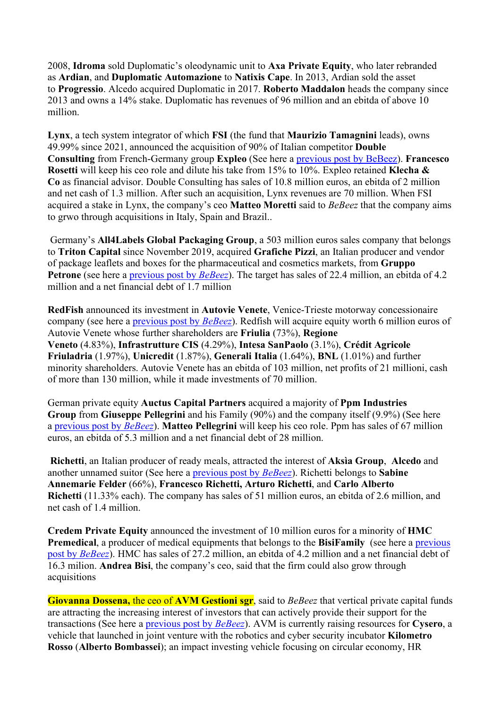2008, Idroma sold Duplomatic's oleodynamic unit to Axa Private Equity, who later rebranded as Ardian, and Duplomatic Automazione to Natixis Cape. In 2013, Ardian sold the asset to Progressio. Alcedo acquired Duplomatic in 2017. Roberto Maddalon heads the company since 2013 and owns a 14% stake. Duplomatic has revenues of 96 million and an ebitda of above 10 million.

Lynx, a tech system integrator of which FSI (the fund that Maurizio Tamagnini leads), owns 49.99% since 2021, announced the acquisition of 90% of Italian competitor Double Consulting from French-Germany group Expleo (See here a previous post by BeBeez). Francesco Rosetti will keep his ceo role and dilute his take from 15% to 10%. Expleo retained Klecha & Co as financial advisor. Double Consulting has sales of 10.8 million euros, an ebitda of 2 million and net cash of 1.3 million. After such an acquisition, Lynx revenues are 70 million. When FSI acquired a stake in Lynx, the company's ceo Matteo Moretti said to BeBeez that the company aims to grwo through acquisitions in Italy, Spain and Brazil..

 Germany's All4Labels Global Packaging Group, a 503 million euros sales company that belongs to Triton Capital since November 2019, acquired Grafiche Pizzi, an Italian producer and vendor of package leaflets and boxes for the pharmaceutical and cosmetics markets, from Gruppo Petrone (see here a previous post by *BeBeez*). The target has sales of 22.4 million, an ebitda of 4.2 million and a net financial debt of 1.7 million

RedFish announced its investment in Autovie Venete, Venice-Trieste motorway concessionaire company (see here a previous post by BeBeez). Redfish will acquire equity worth 6 million euros of Autovie Venete whose further shareholders are Friulia (73%), Regione Veneto (4.83%), Infrastrutture CIS (4.29%), Intesa SanPaolo (3.1%), Crédit Agricole Friuladria (1.97%), Unicredit (1.87%), Generali Italia (1.64%), BNL (1.01%) and further minority shareholders. Autovie Venete has an ebitda of 103 million, net profits of 21 millioni, cash of more than 130 million, while it made investments of 70 million.

German private equity Auctus Capital Partners acquired a majority of Ppm Industries Group from Giuseppe Pellegrini and his Family (90%) and the company itself (9.9%) (See here a previous post by BeBeez). Matteo Pellegrini will keep his ceo role. Ppm has sales of 67 million euros, an ebitda of 5.3 million and a net financial debt of 28 million.

Richetti, an Italian producer of ready meals, attracted the interest of Aksìa Group, Alcedo and another unnamed suitor (See here a previous post by BeBeez). Richetti belongs to Sabine Annemarie Felder (66%), Francesco Richetti, Arturo Richetti, and Carlo Alberto Richetti (11.33% each). The company has sales of 51 million euros, an ebitda of 2.6 million, and net cash of 1.4 million.

Credem Private Equity announced the investment of 10 million euros for a minority of HMC Premedical, a producer of medical equipments that belongs to the BisiFamily (see here a previous post by BeBeez). HMC has sales of 27.2 million, an ebitda of 4.2 million and a net financial debt of 16.3 milion. Andrea Bisi, the company's ceo, said that the firm could also grow through acquisitions

Giovanna Dossena, the ceo of AVM Gestioni sgr, said to BeBeez that vertical private capital funds are attracting the increasing interest of investors that can actively provide their support for the transactions (See here a *previous post by BeBeez*). AVM is currently raising resources for Cysero, a vehicle that launched in joint venture with the robotics and cyber security incubator Kilometro Rosso (Alberto Bombassei); an impact investing vehicle focusing on circular economy, HR